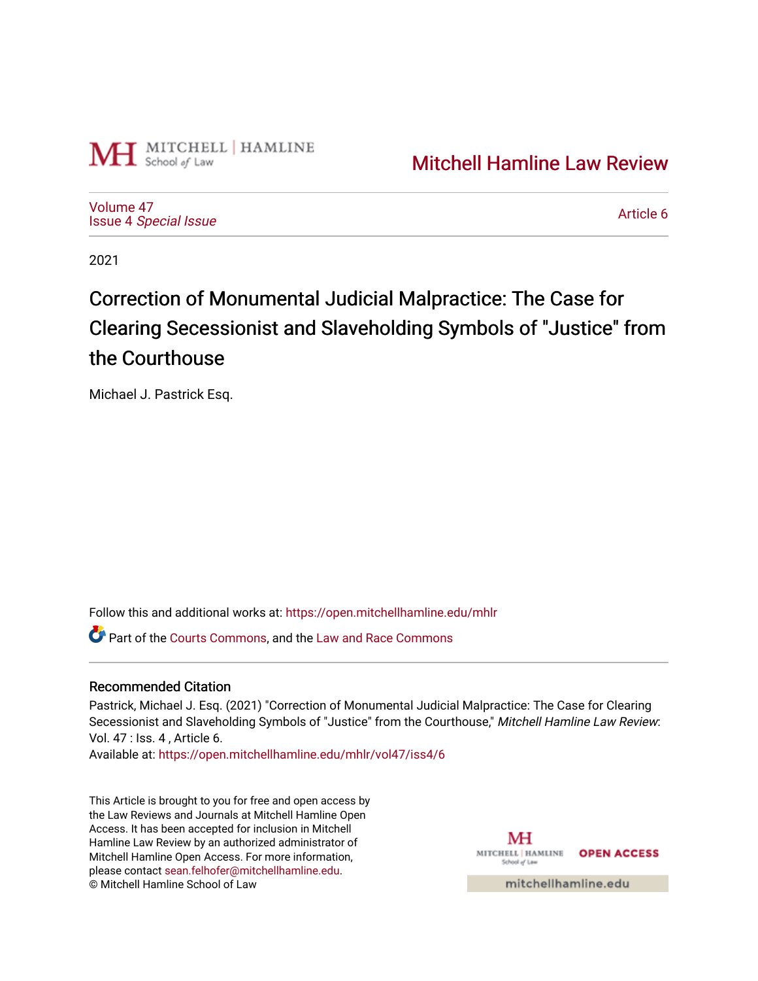

[Mitchell Hamline Law Review](https://open.mitchellhamline.edu/mhlr) 

[Volume 47](https://open.mitchellhamline.edu/mhlr/vol47) Issue 4 [Special Issue](https://open.mitchellhamline.edu/mhlr/vol47/iss4)

[Article 6](https://open.mitchellhamline.edu/mhlr/vol47/iss4/6) 

2021

# Correction of Monumental Judicial Malpractice: The Case for Clearing Secessionist and Slaveholding Symbols of "Justice" from the Courthouse

Michael J. Pastrick Esq.

Follow this and additional works at: [https://open.mitchellhamline.edu/mhlr](https://open.mitchellhamline.edu/mhlr?utm_source=open.mitchellhamline.edu%2Fmhlr%2Fvol47%2Fiss4%2F6&utm_medium=PDF&utm_campaign=PDFCoverPages) 

**P** Part of the [Courts Commons,](http://network.bepress.com/hgg/discipline/839?utm_source=open.mitchellhamline.edu%2Fmhlr%2Fvol47%2Fiss4%2F6&utm_medium=PDF&utm_campaign=PDFCoverPages) and the [Law and Race Commons](http://network.bepress.com/hgg/discipline/1300?utm_source=open.mitchellhamline.edu%2Fmhlr%2Fvol47%2Fiss4%2F6&utm_medium=PDF&utm_campaign=PDFCoverPages)

# Recommended Citation

Pastrick, Michael J. Esq. (2021) "Correction of Monumental Judicial Malpractice: The Case for Clearing Secessionist and Slaveholding Symbols of "Justice" from the Courthouse," Mitchell Hamline Law Review: Vol. 47 : Iss. 4 , Article 6.

Available at: [https://open.mitchellhamline.edu/mhlr/vol47/iss4/6](https://open.mitchellhamline.edu/mhlr/vol47/iss4/6?utm_source=open.mitchellhamline.edu%2Fmhlr%2Fvol47%2Fiss4%2F6&utm_medium=PDF&utm_campaign=PDFCoverPages) 

This Article is brought to you for free and open access by the Law Reviews and Journals at Mitchell Hamline Open Access. It has been accepted for inclusion in Mitchell Hamline Law Review by an authorized administrator of Mitchell Hamline Open Access. For more information, please contact [sean.felhofer@mitchellhamline.edu.](mailto:sean.felhofer@mitchellhamline.edu) © Mitchell Hamline School of Law

MH MITCHELL HAMLINE OPEN ACCESS School of Lav

mitchellhamline.edu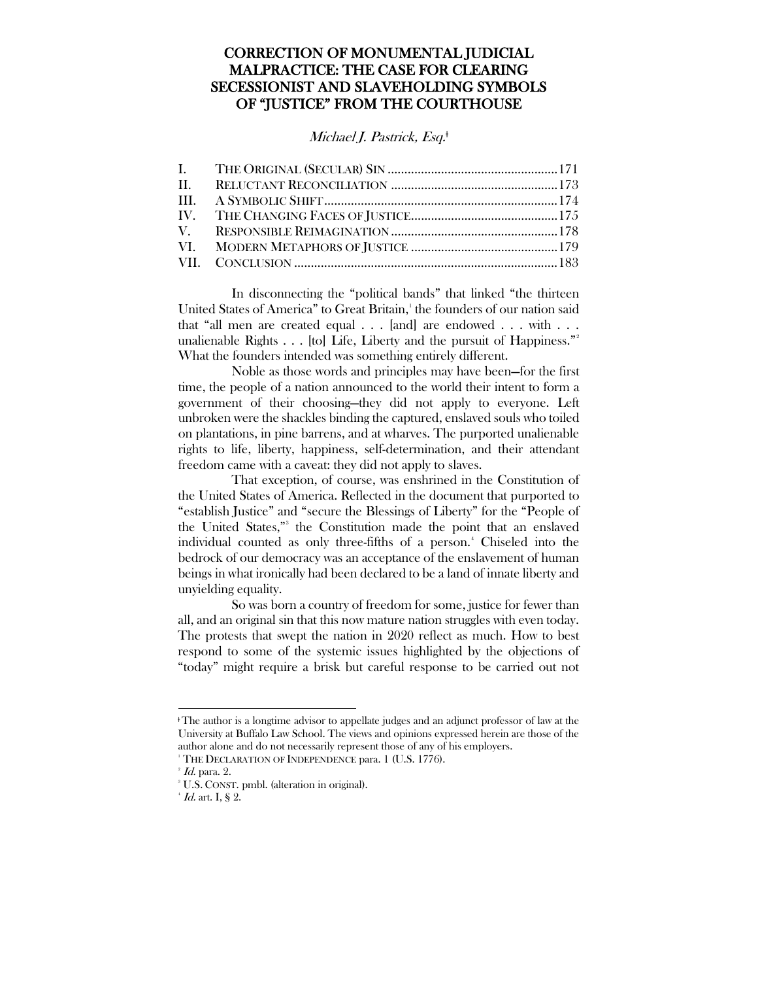# CORRECTION OF MONUMENTAL JUDICIAL MALPRACTICE: THE CASE FOR CLEARING SECESSIONIST AND SLAVEHOLDING SYMBOLS OF "JUSTICE" FROM THE COURTHOUSE

# Michael J. Pastrick, Esq.<sup>‡</sup>

In disconnecting the "political bands" that linked "the thirteen United States of America" to Great Britain,[1](#page-1-0) the founders of our nation said that "all men are created equal . . . [and] are endowed . . . with . . . unalienable Rights  $\ldots$  [to] Life, Liberty and the pursuit of Happiness."<sup>[2](#page-1-1)</sup> What the founders intended was something entirely different.

Noble as those words and principles may have been—for the first time, the people of a nation announced to the world their intent to form a government of their choosing—they did not apply to everyone. Left unbroken were the shackles binding the captured, enslaved souls who toiled on plantations, in pine barrens, and at wharves. The purported unalienable rights to life, liberty, happiness, self-determination, and their attendant freedom came with a caveat: they did not apply to slaves.

That exception, of course, was enshrined in the Constitution of the United States of America. Reflected in the document that purported to "establish Justice" and "secure the Blessings of Liberty" for the "People of the United States,"<sup>[3](#page-1-2)</sup> the Constitution made the point that an enslaved individual counted as only three-fifths of a person.<sup>[4](#page-1-3)</sup> Chiseled into the bedrock of our democracy was an acceptance of the enslavement of human beings in what ironically had been declared to be a land of innate liberty and unyielding equality.

So was born a country of freedom for some, justice for fewer than all, and an original sin that this now mature nation struggles with even today. The protests that swept the nation in 2020 reflect as much. How to best respond to some of the systemic issues highlighted by the objections of "today" might require a brisk but careful response to be carried out not

 $\overline{a}$ 

<span id="page-1-0"></span><sup>ǂ</sup>The author is a longtime advisor to appellate judges and an adjunct professor of law at the University at Buffalo Law School. The views and opinions expressed herein are those of the author alone and do not necessarily represent those of any of his employers.

<sup>&</sup>lt;sup>1</sup> THE DECLARATION OF INDEPENDENCE para. 1 (U.S. 1776).

<span id="page-1-1"></span> $^{\circ}$  *Id.* para. 2.

<span id="page-1-3"></span><span id="page-1-2"></span><sup>3</sup> U.S. CONST. pmbl. (alteration in original).

 $^4$  *Id.* art. I, § 2.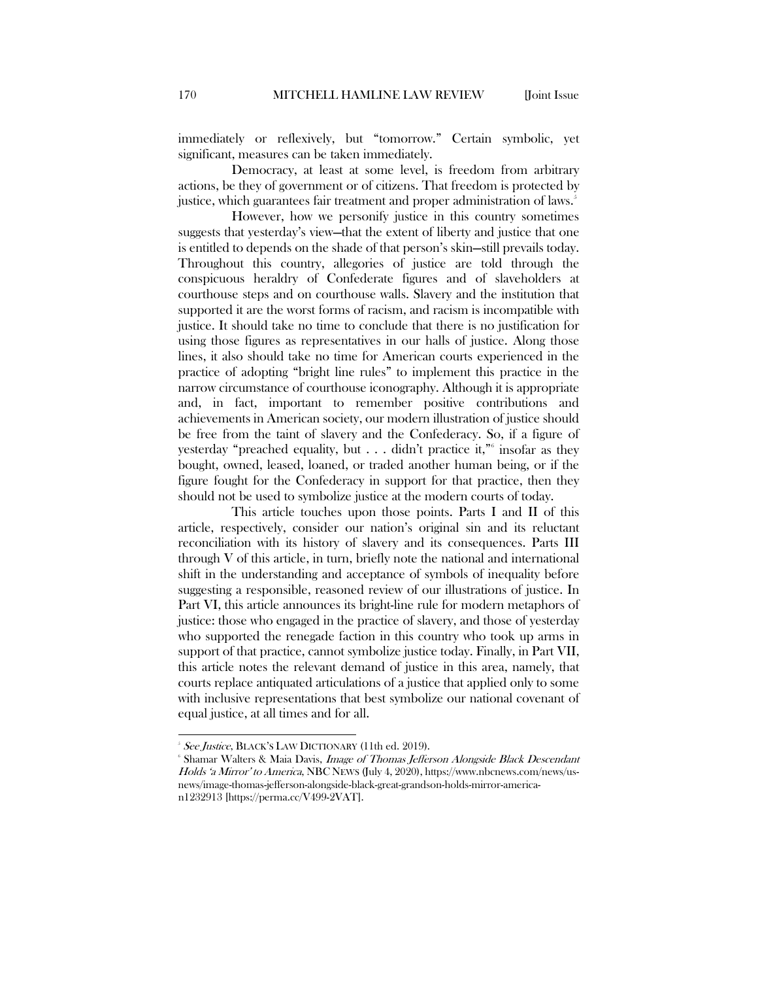immediately or reflexively, but "tomorrow." Certain symbolic, yet significant, measures can be taken immediately.

Democracy, at least at some level, is freedom from arbitrary actions, be they of government or of citizens. That freedom is protected by justice, which guarantees fair treatment and proper administration of laws.<sup>[5](#page-2-0)</sup>

However, how we personify justice in this country sometimes suggests that yesterday's view—that the extent of liberty and justice that one is entitled to depends on the shade of that person's skin—still prevails today. Throughout this country, allegories of justice are told through the conspicuous heraldry of Confederate figures and of slaveholders at courthouse steps and on courthouse walls. Slavery and the institution that supported it are the worst forms of racism, and racism is incompatible with justice. It should take no time to conclude that there is no justification for using those figures as representatives in our halls of justice. Along those lines, it also should take no time for American courts experienced in the practice of adopting "bright line rules" to implement this practice in the narrow circumstance of courthouse iconography. Although it is appropriate and, in fact, important to remember positive contributions and achievements in American society, our modern illustration of justice should be free from the taint of slavery and the Confederacy. So, if a figure of yesterday "preached equality, but . . . didn't practice it,"[6](#page-2-1) insofar as they bought, owned, leased, loaned, or traded another human being, or if the figure fought for the Confederacy in support for that practice, then they should not be used to symbolize justice at the modern courts of today.

This article touches upon those points. Parts I and II of this article, respectively, consider our nation's original sin and its reluctant reconciliation with its history of slavery and its consequences. Parts III through V of this article, in turn, briefly note the national and international shift in the understanding and acceptance of symbols of inequality before suggesting a responsible, reasoned review of our illustrations of justice. In Part VI, this article announces its bright-line rule for modern metaphors of justice: those who engaged in the practice of slavery, and those of yesterday who supported the renegade faction in this country who took up arms in support of that practice, cannot symbolize justice today. Finally, in Part VII, this article notes the relevant demand of justice in this area, namely, that courts replace antiquated articulations of a justice that applied only to some with inclusive representations that best symbolize our national covenant of equal justice, at all times and for all.

 <sup>5</sup>  $SSEJustice$ , BLACK'S LAW DICTIONARY (11th ed. 2019).

<span id="page-2-1"></span><span id="page-2-0"></span><sup>&</sup>lt;sup>6</sup> Shamar Walters & Maia Davis, *Image of Thomas Jefferson Alongside Black Descendant* Holds 'a Mirror' to America, NBC NEWS (July 4, 2020), https://www.nbcnews.com/news/usnews/image-thomas-jefferson-alongside-black-great-grandson-holds-mirror-american1232913 [https://perma.cc/V499-2VAT].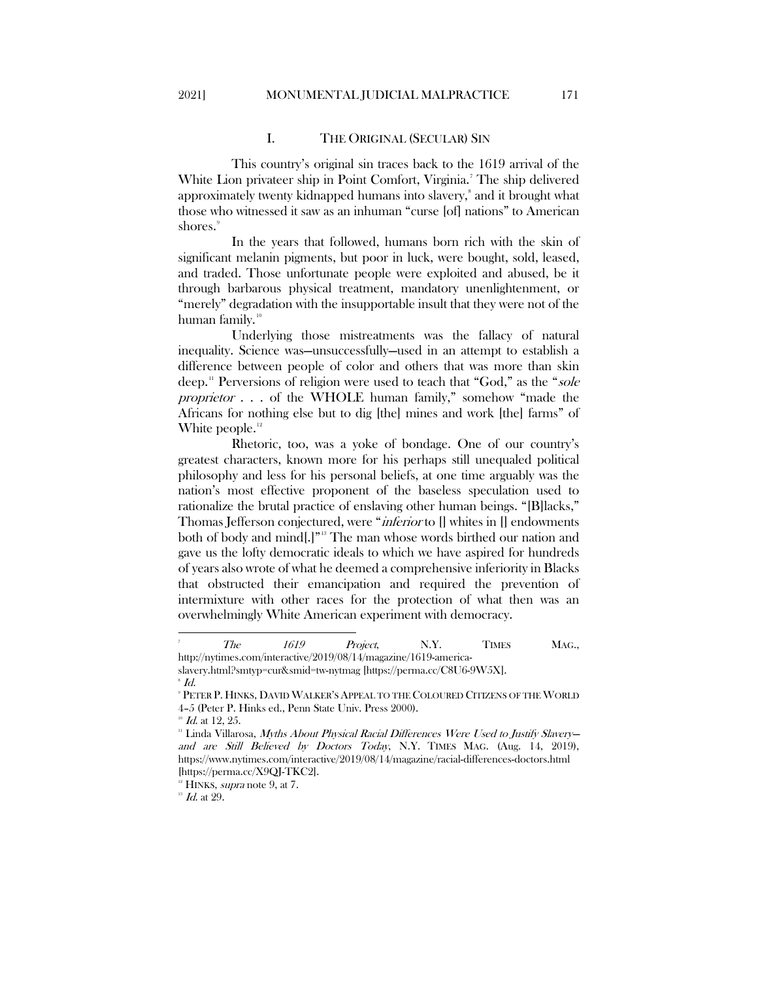### I. THE ORIGINAL (SECULAR) SIN

<span id="page-3-0"></span>This country's original sin traces back to the 1619 arrival of the White Lion privateer ship in Point Comfort, Virginia.<sup>[7](#page-3-1)</sup> The ship delivered approximately twenty kidnapped humans into slavery, $^{\mathrm{s}}$  and it brought what those who witnessed it saw as an inhuman "curse [of] nations" to American shores.<sup>[9](#page-3-3)</sup>

In the years that followed, humans born rich with the skin of significant melanin pigments, but poor in luck, were bought, sold, leased, and traded. Those unfortunate people were exploited and abused, be it through barbarous physical treatment, mandatory unenlightenment, or "merely" degradation with the insupportable insult that they were not of the human family.<sup>[10](#page-3-4)</sup>

Underlying those mistreatments was the fallacy of natural inequality. Science was—unsuccessfully—used in an attempt to establish a difference between people of color and others that was more than skin deep.<sup>[11](#page-3-5)</sup> Perversions of religion were used to teach that "God," as the "sole proprietor . . . of the WHOLE human family," somehow "made the Africans for nothing else but to dig [the] mines and work [the] farms" of White people.<sup>[12](#page-3-6)</sup>

Rhetoric, too, was a yoke of bondage. One of our country's greatest characters, known more for his perhaps still unequaled political philosophy and less for his personal beliefs, at one time arguably was the nation's most effective proponent of the baseless speculation used to rationalize the brutal practice of enslaving other human beings. "[B]lacks," Thomas Jefferson conjectured, were "*inferior* to [] whites in [] endowments both of body and mind[.]"[13](#page-3-7) The man whose words birthed our nation and gave us the lofty democratic ideals to which we have aspired for hundreds of years also wrote of what he deemed a comprehensive inferiority in Blacks that obstructed their emancipation and required the prevention of intermixture with other races for the protection of what then was an overwhelmingly White American experiment with democracy.

<span id="page-3-1"></span><sup>-&</sup>lt;br>7 The 1619 Project, N.Y. TIMES MAG., http://nytimes.com/interactive/2019/08/14/magazine/1619-america-

<span id="page-3-2"></span>slavery.html?smtyp=cur&smid=tw-nytmag [https://perma.cc/C8U6-9W5X].

 $^{\circ}$  Id.

<span id="page-3-3"></span><sup>9</sup> PETER P. HINKS, DAVID WALKER'S APPEAL TO THE COLOURED CITIZENS OF THE WORLD 4–5 (Peter P. Hinks ed., Penn State Univ. Press 2000).

<span id="page-3-4"></span> $10^{\circ}$  *Id.* at 12, 25.

<span id="page-3-5"></span><sup>&</sup>lt;sup>11</sup> Linda Villarosa, Myths About Physical Racial Differences Were Used to Justify Slaveryand are Still Believed by Doctors Today, N.Y. TIMES MAG. (Aug. 14, 2019), https://www.nytimes.com/interactive/2019/08/14/magazine/racial-differences-doctors.html [https://perma.cc/X9QJ-TKC2].

 $12$  HINKS, *supra* note 9, at 7.

<span id="page-3-7"></span><span id="page-3-6"></span> $^{\text{\tiny{13}}}$   $\emph{Id.}$  at 29.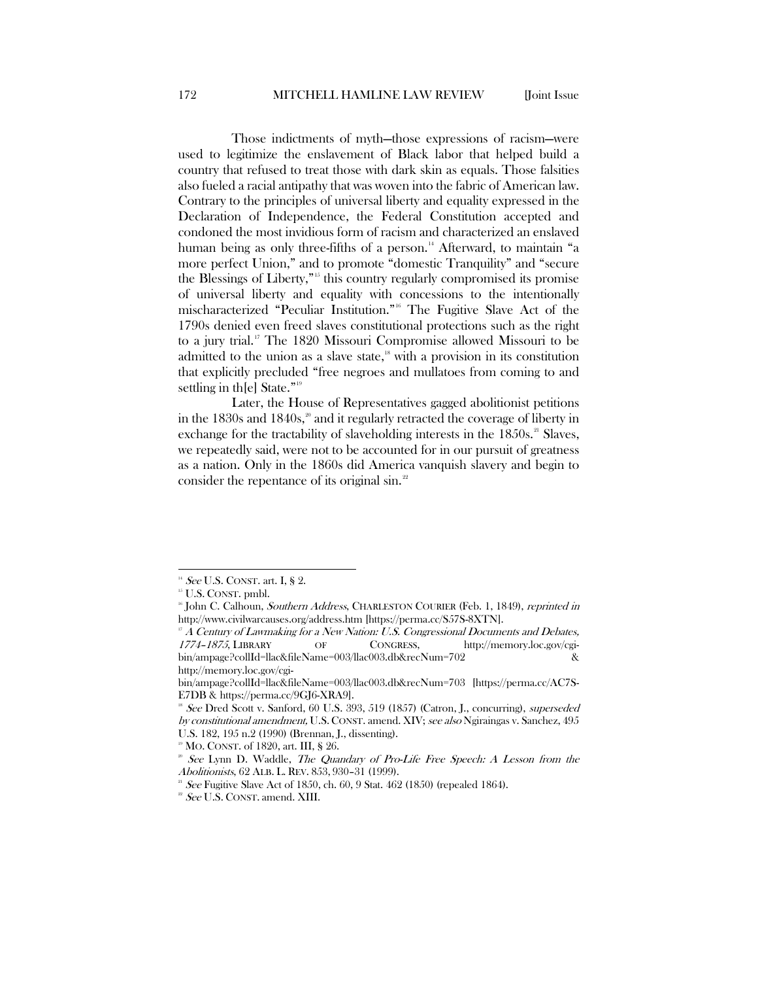Those indictments of myth—those expressions of racism—were used to legitimize the enslavement of Black labor that helped build a country that refused to treat those with dark skin as equals. Those falsities also fueled a racial antipathy that was woven into the fabric of American law. Contrary to the principles of universal liberty and equality expressed in the Declaration of Independence, the Federal Constitution accepted and condoned the most invidious form of racism and characterized an enslaved human being as only three-fifths of a person.<sup>[14](#page-4-0)</sup> Afterward, to maintain "a more perfect Union," and to promote "domestic Tranquility" and "secure the Blessings of Liberty,"[15](#page-4-1) this country regularly compromised its promise of universal liberty and equality with concessions to the intentionally mischaracterized "Peculiar Institution."[16](#page-4-2) The Fugitive Slave Act of the 1790s denied even freed slaves constitutional protections such as the right to a jury trial.<sup>[17](#page-4-3)</sup> The 1820 Missouri Compromise allowed Missouri to be admitted to the union as a slave state, $18$  with a provision in its constitution that explicitly precluded "free negroes and mullatoes from coming to and settling in the State."<sup>[19](#page-4-5)</sup>

Later, the House of Representatives gagged abolitionist petitions in the  $1830s$  and  $1840s$ ,<sup>[20](#page-4-6)</sup> and it regularly retracted the coverage of liberty in exchange for the tractability of slaveholding interests in the  $1850s$ <sup>[21](#page-4-7)</sup> Slaves, we repeatedly said, were not to be accounted for in our pursuit of greatness as a nation. Only in the 1860s did America vanquish slavery and begin to consider the repentance of its original  $\sin^{2}$ 

<span id="page-4-0"></span><sup>&</sup>lt;sup>14</sup> See U.S. CONST. art. I, § 2.<br><sup>15</sup> U.S. CONST. pmbl.

<span id="page-4-2"></span><span id="page-4-1"></span><sup>&</sup>lt;sup>16</sup> John C. Calhoun, Southern Address, CHARLESTON COURIER (Feb. 1, 1849), reprinted in http://www.civilwarcauses.org/address.htm [https://perma.cc/S57S-8XTN].

<span id="page-4-3"></span> $17 A$  Century of Lawmaking for a New Nation: U.S. Congressional Documents and Debates, 1774–1875, LIBRARY OF CONGRESS, http://memory.loc.gov/cgibin/ampage?collId=llac&fileName=003/llac003.db&recNum=702 & http://memory.loc.gov/cgi-

bin/ampage?collId=llac&fileName=003/llac003.db&recNum=703 [https://perma.cc/AC7S-E7DB & https://perma.cc/9GJ6-XRA9].

<span id="page-4-4"></span><sup>&</sup>lt;sup>18</sup> See Dred Scott v. Sanford, 60 U.S. 393, 519 (1857) (Catron, J., concurring), *superseded* by constitutional amendment, U.S. CONST. amend. XIV; see also Ngiraingas v. Sanchez, 495 U.S. 182, 195 n.2 (1990) (Brennan, J., dissenting).

<sup>&</sup>lt;sup>19</sup> MO. CONST. of 1820, art. III, § 26.

<span id="page-4-6"></span><span id="page-4-5"></span> $20^{\circ}$  See Lynn D. Waddle, The Quandary of Pro-Life Free Speech: A Lesson from the Abolitionists, 62 ALB. L. REV. 853, 930–31 (1999).

<span id="page-4-8"></span><span id="page-4-7"></span> $21$  See Fugitive Slave Act of 1850, ch. 60, 9 Stat. 462 (1850) (repealed 1864).

 $2^2$  See U.S. CONST. amend. XIII.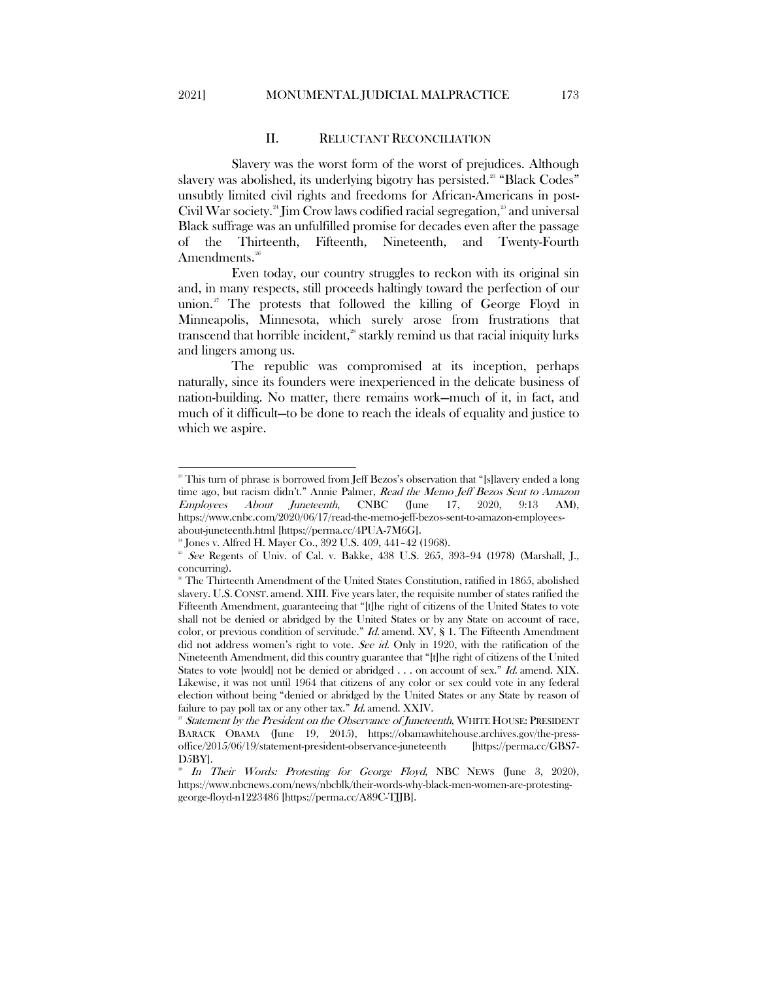#### II. RELUCTANT RECONCILIATION

<span id="page-5-0"></span>Slavery was the worst form of the worst of prejudices. Although slavery was abolished, its underlying bigotry has persisted.<sup>28</sup> "Black Codes" unsubtly limited civil rights and freedoms for African-Americans in post-Civil War society.<sup>[24](#page-5-2)</sup> Jim Crow laws codified racial segregation,<sup>25</sup> and universal Black suffrage was an unfulfilled promise for decades even after the passage of the Thirteenth, Fifteenth, Nineteenth, and Twenty-Fourth Amendments.<sup>[26](#page-5-4)</sup>

Even today, our country struggles to reckon with its original sin and, in many respects, still proceeds haltingly toward the perfection of our union.<sup>[27](#page-5-5)</sup> The protests that followed the killing of George Floyd in Minneapolis, Minnesota, which surely arose from frustrations that transcend that horrible incident,<sup>[28](#page-5-6)</sup> starkly remind us that racial iniquity lurks and lingers among us.

The republic was compromised at its inception, perhaps naturally, since its founders were inexperienced in the delicate business of nation-building. No matter, there remains work—much of it, in fact, and much of it difficult—to be done to reach the ideals of equality and justice to which we aspire.

<span id="page-5-1"></span><sup>&</sup>lt;sup>23</sup> This turn of phrase is borrowed from Jeff Bezos's observation that "[s] lavery ended a long time ago, but racism didn't." Annie Palmer, *Read the Memo Jeff Bezos Sent to Amazon*<br>Employees About Juneteenth, CNBC (June 17, 2020, 9:13 AM), Employees About Juneteenth, CNBC (June 17, 2020, 9:13 AM), https://www.cnbc.com/2020/06/17/read-the-memo-jeff-bezos-sent-to-amazon-employees-

about-juneteenth.html [https://perma.cc/4PUA-7M6G].

<sup>24</sup> Jones v. Alfred H. Mayer Co., 392 U.S. 409, 441–42 (1968).

<span id="page-5-3"></span><span id="page-5-2"></span> $25$  See Regents of Univ. of Cal. v. Bakke, 438 U.S. 265, 393-94 (1978) (Marshall, J., concurring).

<span id="page-5-4"></span><sup>&</sup>lt;sup>26</sup> The Thirteenth Amendment of the United States Constitution, ratified in 1865, abolished slavery. U.S.CONST. amend. XIII. Five years later, the requisite number of states ratified the Fifteenth Amendment, guaranteeing that "[t]he right of citizens of the United States to vote shall not be denied or abridged by the United States or by any State on account of race, color, or previous condition of servitude." Id. amend. XV, § 1. The Fifteenth Amendment did not address women's right to vote. See id. Only in 1920, with the ratification of the Nineteenth Amendment, did this country guarantee that "[t]he right of citizens of the United States to vote [would] not be denied or abridged . . . on account of sex." Id. amend. XIX. Likewise, it was not until 1964 that citizens of any color or sex could vote in any federal election without being "denied or abridged by the United States or any State by reason of failure to pay poll tax or any other tax." Id. amend. XXIV.

<span id="page-5-5"></span> $\overline{p}$  Statement by the President on the Observance of Juneteenth, WHITE HOUSE: PRESIDENT BARACK OBAMA (June 19, 2015), https://obamawhitehouse.archives.gov/the-pressoffice/2015/06/19/statement-president-observance-juneteenth [https://perma.cc/GBS7- D5BY].

<span id="page-5-6"></span>In Their Words: Protesting for George Floyd, NBC NEWS (June 3, 2020), https://www.nbcnews.com/news/nbcblk/their-words-why-black-men-women-are-protestinggeorge-floyd-n1223486 [https://perma.cc/A89C-TJJB].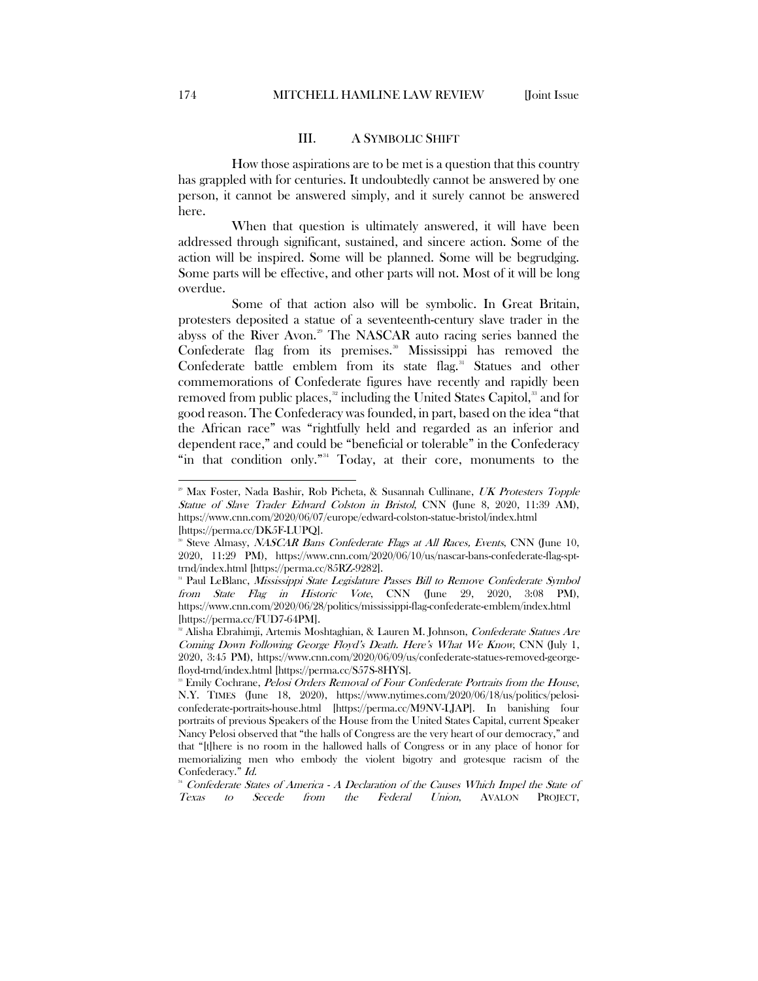#### III. A SYMBOLIC SHIFT

<span id="page-6-0"></span>How those aspirations are to be met is a question that this country has grappled with for centuries. It undoubtedly cannot be answered by one person, it cannot be answered simply, and it surely cannot be answered here.

When that question is ultimately answered, it will have been addressed through significant, sustained, and sincere action. Some of the action will be inspired. Some will be planned. Some will be begrudging. Some parts will be effective, and other parts will not. Most of it will be long overdue.

Some of that action also will be symbolic. In Great Britain, protesters deposited a statue of a seventeenth-century slave trader in the abyss of the River Avon.<sup>[29](#page-6-1)</sup> The NASCAR auto racing series banned the Confederate flag from its premises.<sup>[30](#page-6-2)</sup> Mississippi has removed the Confederate battle emblem from its state flag.<sup>[31](#page-6-3)</sup> Statues and other commemorations of Confederate figures have recently and rapidly been removed from public places, $32$  including the United States Capitol, $33$  and for good reason. The Confederacy was founded, in part, based on the idea "that the African race" was "rightfully held and regarded as an inferior and dependent race," and could be "beneficial or tolerable" in the Confederacy "in that condition only."<sup>[34](#page-6-6)</sup> Today, at their core, monuments to the

<span id="page-6-1"></span><sup>&</sup>lt;sup>29</sup> Max Foster, Nada Bashir, Rob Picheta, & Susannah Cullinane, UK Protesters Topple Statue of Slave Trader Edward Colston in Bristol, CNN (June 8, 2020, 11:39 AM), https://www.cnn.com/2020/06/07/europe/edward-colston-statue-bristol/index.html [https://perma.cc/DK5F-LUPQ].<br><sup>30</sup> Steve Almasy, *NASCAR Bans Confederate Flags at All Races, Events*, CNN (June 10,

<span id="page-6-2"></span><sup>2020, 11:29</sup> PM), https://www.cnn.com/2020/06/10/us/nascar-bans-confederate-flag-spttrnd/index.html [https://perma.cc/85RZ-9282].<br><sup>31</sup> Paul LeBlanc, *Mississippi State Legislature Passes Bill to Remove Confederate Symbol* 

<span id="page-6-3"></span>from State Flag in Historic Vote, CNN (June 29, 2020, 3:08 PM), https://www.cnn.com/2020/06/28/politics/mississippi-flag-confederate-emblem/index.html [https://perma.cc/FUD7-64PM].

<span id="page-6-4"></span><sup>&</sup>lt;sup>22</sup> Alisha Ebrahimji, Artemis Moshtaghian, & Lauren M. Johnson, *Confederate Statues Are* Coming Down Following George Floyd's Death. Here's What We Know, CNN (July 1, 2020, 3:45 PM), https://www.cnn.com/2020/06/09/us/confederate-statues-removed-georgefloyd-trnd/index.html [https://perma.cc/S57S-8HYS].

<span id="page-6-5"></span><sup>&</sup>lt;sup>33</sup> Emily Cochrane, *Pelosi Orders Removal of Four Confederate Portraits from the House*, N.Y. TIMES (June 18, 2020), https://www.nytimes.com/2020/06/18/us/politics/pelosiconfederate-portraits-house.html [https://perma.cc/M9NV-LJAP]. In banishing four portraits of previous Speakers of the House from the United States Capital, current Speaker Nancy Pelosi observed that "the halls of Congress are the very heart of our democracy," and that "[t]here is no room in the hallowed halls of Congress or in any place of honor for memorializing men who embody the violent bigotry and grotesque racism of the Confederacy." Id.

<span id="page-6-6"></span> $34$  Confederate States of America - A Declaration of the Causes Which Impel the State of Texas to Secede from the Federal Union, AVALON PROJECT,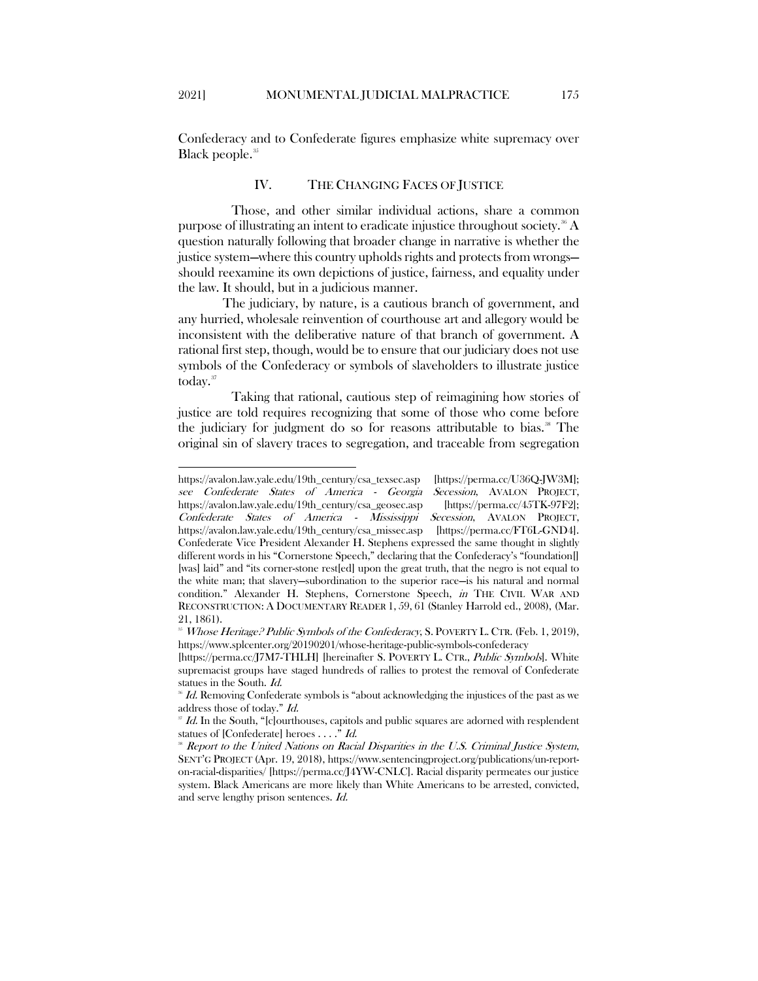<span id="page-7-0"></span>Confederacy and to Confederate figures emphasize white supremacy over Black people.<sup>[35](#page-7-1)</sup>

## IV. THE CHANGING FACES OF JUSTICE

Those, and other similar individual actions, share a common purpose of illustrating an intent to eradicate injustice throughout society.<sup>[36](#page-7-2)</sup> A question naturally following that broader change in narrative is whether the justice system—where this country upholds rights and protects from wrongs should reexamine its own depictions of justice, fairness, and equality under the law. It should, but in a judicious manner.

The judiciary, by nature, is a cautious branch of government, and any hurried, wholesale reinvention of courthouse art and allegory would be inconsistent with the deliberative nature of that branch of government. A rational first step, though, would be to ensure that our judiciary does not use symbols of the Confederacy or symbols of slaveholders to illustrate justice today.<sup>[37](#page-7-3)</sup>

Taking that rational, cautious step of reimagining how stories of justice are told requires recognizing that some of those who come before the judiciary for judgment do so for reasons attributable to bias. $\mathrm{a}^*$  The original sin of slavery traces to segregation, and traceable from segregation

 $\overline{a}$ 

https://avalon.law.yale.edu/19th\_century/csa\_texsec.asp [https://perma.cc/U36Q-JW3M]; see Confederate States of America - Georgia Secession, AVALON PROJECT, https://avalon.law.yale.edu/19th\_century/csa\_geosec.asp [https://perma.cc/45TK-97F2]; Confederate States of America - Mississippi Secession, AVALON PROJECT, https://avalon.law.yale.edu/19th\_century/csa\_missec.asp [https://perma.cc/FT6L-GND4]. Confederate Vice President Alexander H. Stephens expressed the same thought in slightly different words in his "Cornerstone Speech," declaring that the Confederacy's "foundation[] [was] laid" and "its corner-stone rest[ed] upon the great truth, that the negro is not equal to the white man; that slavery—subordination to the superior race—is his natural and normal condition." Alexander H. Stephens, Cornerstone Speech, in THE CIVIL WAR AND RECONSTRUCTION: A DOCUMENTARY READER 1, 59, 61 (Stanley Harrold ed., 2008), (Mar. 21, 1861).

<span id="page-7-1"></span><sup>&</sup>lt;sup>35</sup> Whose Heritage? Public Symbols of the Confederacy, S. POVERTY L. CTR. (Feb. 1, 2019), https://www.splcenter.org/20190201/whose-heritage-public-symbols-confederacy

<sup>[</sup>https://perma.cc/J7M7-THLH] [hereinafter S. POVERTY L. CTR., Public Symbols]. White supremacist groups have staged hundreds of rallies to protest the removal of Confederate statues in the South. Id.

<span id="page-7-2"></span>Id. Removing Confederate symbols is "about acknowledging the injustices of the past as we address those of today." Id.

<span id="page-7-3"></span>Id. In the South, "[c]ourthouses, capitols and public squares are adorned with resplendent statues of [Confederate] heroes . . . ." Id.

<span id="page-7-4"></span><sup>38</sup> Report to the United Nations on Racial Disparities in the U.S. Criminal Justice System, SENT'G PROJECT (Apr. 19, 2018), https://www.sentencingproject.org/publications/un-reporton-racial-disparities/ [https://perma.cc/J4YW-CNLC]. Racial disparity permeates our justice system. Black Americans are more likely than White Americans to be arrested, convicted, and serve lengthy prison sentences. Id.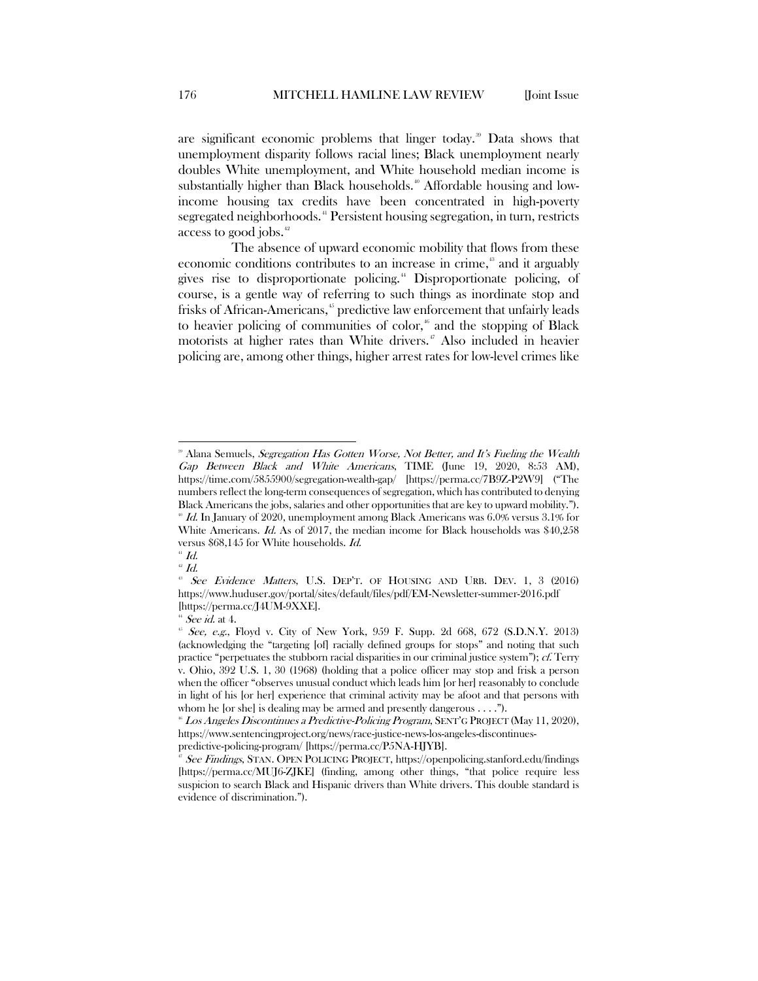are significant economic problems that linger today.<sup>[39](#page-8-0)</sup> Data shows that unemployment disparity follows racial lines; Black unemployment nearly doubles White unemployment, and White household median income is substantially higher than Black households.<sup>[40](#page-8-1)</sup> Affordable housing and lowincome housing tax credits have been concentrated in high-poverty segregated neighborhoods.<sup>[41](#page-8-2)</sup> Persistent housing segregation, in turn, restricts access to good jobs.<sup>[42](#page-8-3)</sup>

The absence of upward economic mobility that flows from these economic conditions contributes to an increase in crime,<sup>[43](#page-8-4)</sup> and it arguably gives rise to disproportionate policing.<sup>[44](#page-8-5)</sup> Disproportionate policing, of course, is a gentle way of referring to such things as inordinate stop and frisks of African-Americans,<sup>[45](#page-8-6)</sup> predictive law enforcement that unfairly leads to heavier policing of communities of color, $*$  and the stopping of Black motorists at higher rates than White drivers.<sup>[47](#page-8-8)</sup> Also included in heavier policing are, among other things, higher arrest rates for low-level crimes like

<span id="page-8-0"></span><sup>&</sup>lt;sup>39</sup> Alana Semuels, Segregation Has Gotten Worse, Not Better, and It's Fueling the Wealth Gap Between Black and White Americans, TIME (June 19, 2020, 8:53 AM), https://time.com/5855900/segregation-wealth-gap/ [https://perma.cc/7B9Z-P2W9] ("The numbers reflect the long-term consequences of segregation, which has contributed to denying Black Americans the jobs, salaries and other opportunities that are key to upward mobility.").  $^{*}$  Id. In January of 2020, unemployment among Black Americans was 6.0% versus 3.1% for White Americans. Id. As of 2017, the median income for Black households was \$40,258 versus \$68,145 for White households. Id.

<span id="page-8-1"></span> $41$  Id.

<span id="page-8-4"></span><span id="page-8-3"></span><span id="page-8-2"></span> $\phantom{a}^{\tiny 42}$  Id.

<sup>&</sup>lt;sup>43</sup> See Evidence Matters, U.S. DEP'T. OF HOUSING AND URB. DEV. 1, 3 (2016) https://www.huduser.gov/portal/sites/default/files/pdf/EM-Newsletter-summer-2016.pdf [https://perma.cc/J4UM-9XXE].<br>
" See id. at 4. 45 See, e.g., Floyd v. City of New York, 959 F. Supp. 2d 668, 672 (S.D.N.Y. 2013)

<span id="page-8-6"></span><span id="page-8-5"></span><sup>(</sup>acknowledging the "targeting [of] racially defined groups for stops" and noting that such practice "perpetuates the stubborn racial disparities in our criminal justice system");  $c\hat{L}$  Terry v. Ohio, 392 U.S. 1, 30 (1968) (holding that a police officer may stop and frisk a person when the officer "observes unusual conduct which leads him [or her] reasonably to conclude in light of his [or her] experience that criminal activity may be afoot and that persons with whom he [or she] is dealing may be armed and presently dangerous . . . .").

<span id="page-8-7"></span> $^{16}$  Los Angeles Discontinues a Predictive-Policing Program, SENT'G PROJECT (May 11, 2020), https://www.sentencingproject.org/news/race-justice-news-los-angeles-discontinues-

predictive-policing-program/ [https://perma.cc/P5NA-HJYB].<br>
<sup>*a*</sup> See Findings, STAN. OPEN POLICING PROJECT, https://openpolicing.stanford.edu/findings

<span id="page-8-8"></span><sup>[</sup>https://perma.cc/MUJ6-ZJKE] (finding, among other things, "that police require less suspicion to search Black and Hispanic drivers than White drivers. This double standard is evidence of discrimination.").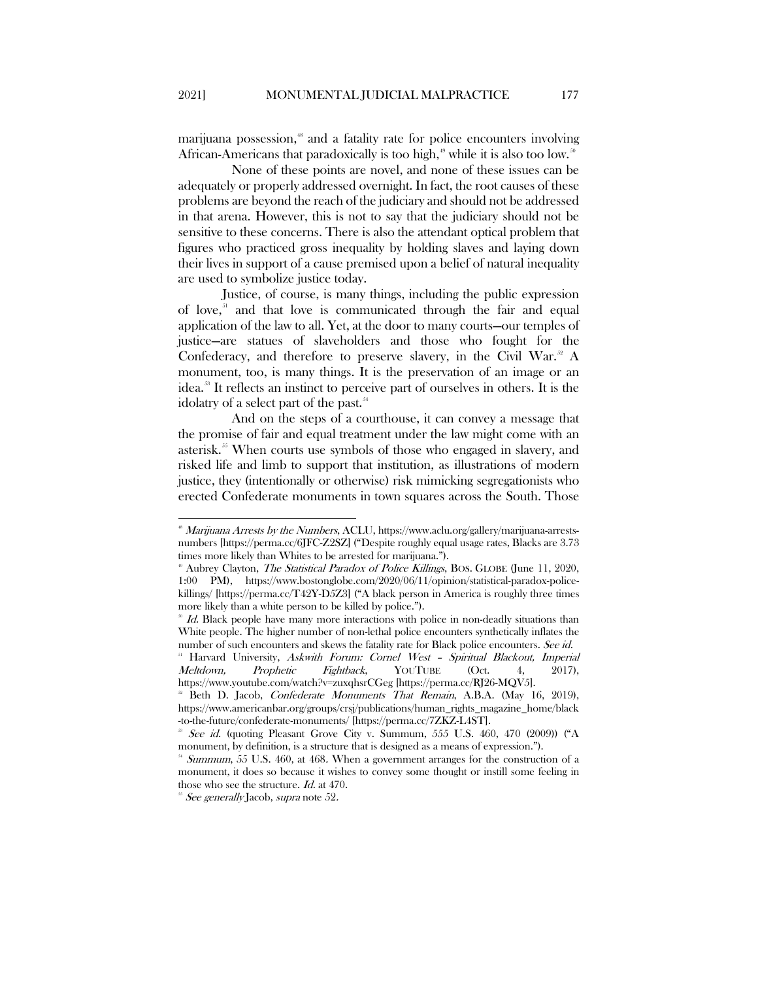marijuana possession,<sup>[48](#page-9-0)</sup> and a fatality rate for police encounters involving African-Americans that paradoxically is too high,<sup>[49](#page-9-1)</sup> while it is also too low.<sup>[50](#page-9-2)</sup>

None of these points are novel, and none of these issues can be adequately or properly addressed overnight. In fact, the root causes of these problems are beyond the reach of the judiciary and should not be addressed in that arena. However, this is not to say that the judiciary should not be sensitive to these concerns. There is also the attendant optical problem that figures who practiced gross inequality by holding slaves and laying down their lives in support of a cause premised upon a belief of natural inequality are used to symbolize justice today.

Justice, of course, is many things, including the public expression of love, $51$  and that love is communicated through the fair and equal application of the law to all. Yet, at the door to many courts—our temples of justice—are statues of slaveholders and those who fought for the Confederacy, and therefore to preserve slavery, in the Civil War. $^{32}$  A monument, too, is many things. It is the preservation of an image or an idea.[53](#page-9-5) It reflects an instinct to perceive part of ourselves in others. It is the idolatry of a select part of the past.<sup>[54](#page-9-6)</sup>

And on the steps of a courthouse, it can convey a message that the promise of fair and equal treatment under the law might come with an asterisk.<sup>[55](#page-9-7)</sup> When courts use symbols of those who engaged in slavery, and risked life and limb to support that institution, as illustrations of modern justice, they (intentionally or otherwise) risk mimicking segregationists who erected Confederate monuments in town squares across the South. Those

<span id="page-9-0"></span><sup>&</sup>lt;sup>88</sup> Marijuana Arrests by the Numbers, ACLU, https://www.aclu.org/gallery/marijuana-arrestsnumbers [https://perma.cc/6JFC-Z2SZ] ("Despite roughly equal usage rates, Blacks are 3.73 times more likely than Whites to be arrested for marijuana.").

<span id="page-9-1"></span> $\mu^{\text{B}}$  Aubrey Clayton, *The Statistical Paradox of Police Killings*, BOS. GLOBE (June 11, 2020, 1:00 PM), https://www.bostonglobe.com/2020/06/11/opinion/statistical-paradox-policekillings/ [https://perma.cc/T42Y-D5Z3] ("A black person in America is roughly three times

<span id="page-9-2"></span>more likely than a white person to be killed by police.").  $\frac{30}{2}$  Id. Black people have many more interactions with police in non-deadly situations than White people. The higher number of non-lethal police encounters synthetically inflates the number of such encounters and skews the fatality rate for Black police encounters. See id.

<span id="page-9-3"></span><sup>51</sup> Harvard University, Askwith Forum: Cornel West – Spiritual Blackout, Imperial Meltdown, Prophetic Fightback, YOUTUBE (Oct. 4, 2017), https://www.youtube.com/watch?v=zuxqhsrCGeg [https://perma.cc/RJ26-MQV5].

<span id="page-9-4"></span><sup>52</sup> Beth D. Jacob, Confederate Monuments That Remain, A.B.A. (May 16, 2019), https://www.americanbar.org/groups/crsj/publications/human\_rights\_magazine\_home/black -to-the-future/confederate-monuments/ [https://perma.cc/7ZKZ-L4ST].

<span id="page-9-5"></span>See id. (quoting Pleasant Grove City v. Summum, 555 U.S. 460, 470 (2009)) ("A monument, by definition, is a structure that is designed as a means of expression.").

<span id="page-9-6"></span><sup>54</sup> Summum, 55 U.S. 460, at 468. When a government arranges for the construction of a monument, it does so because it wishes to convey some thought or instill some feeling in those who see the structure. Id. at 470.

<span id="page-9-7"></span><sup>&</sup>lt;sup>55</sup> See generally Jacob, supra note 52.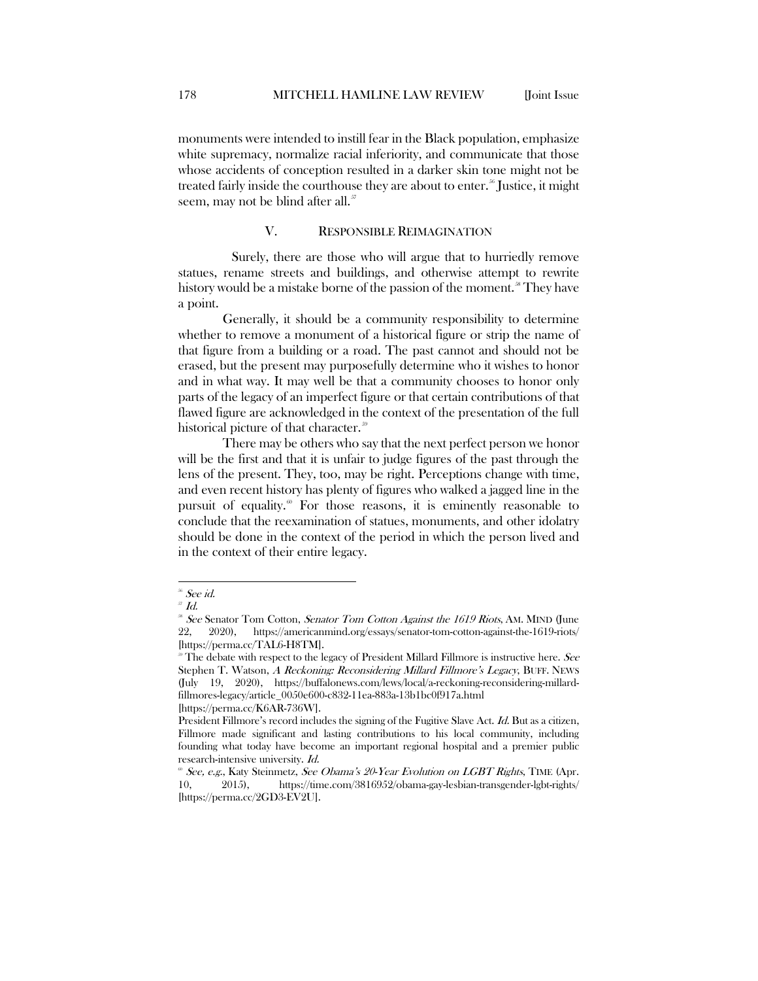monuments were intended to instill fear in the Black population, emphasize white supremacy, normalize racial inferiority, and communicate that those whose accidents of conception resulted in a darker skin tone might not be treated fairly inside the courthouse they are about to enter.<sup>[56](#page-10-1)</sup> Justice, it might seem, may not be blind after all.<sup>[57](#page-10-2)</sup>

## V. RESPONSIBLE REIMAGINATION

<span id="page-10-0"></span>Surely, there are those who will argue that to hurriedly remove statues, rename streets and buildings, and otherwise attempt to rewrite history would be a mistake borne of the passion of the moment.<sup>38</sup> They have a point.

Generally, it should be a community responsibility to determine whether to remove a monument of a historical figure or strip the name of that figure from a building or a road. The past cannot and should not be erased, but the present may purposefully determine who it wishes to honor and in what way. It may well be that a community chooses to honor only parts of the legacy of an imperfect figure or that certain contributions of that flawed figure are acknowledged in the context of the presentation of the full historical picture of that character.<sup>[59](#page-10-4)</sup>

There may be others who say that the next perfect person we honor will be the first and that it is unfair to judge figures of the past through the lens of the present. They, too, may be right. Perceptions change with time, and even recent history has plenty of figures who walked a jagged line in the pursuit of equality.<sup>[60](#page-10-5)</sup> For those reasons, it is eminently reasonable to conclude that the reexamination of statues, monuments, and other idolatry should be done in the context of the period in which the person lived and in the context of their entire legacy.

<span id="page-10-1"></span> $^{56}$  See id.

<span id="page-10-2"></span> $J\bar{J}$  Id.

<span id="page-10-3"></span> $\frac{36}{2}$  See Senator Tom Cotton, *Senator Tom Cotton Against the 1619 Riots*, AM. MIND (June 22. 2020). https://americanmind.org/essays/senator-tom-cotton-against-the-1619-riots/ 22, 2020), https://americanmind.org/essays/senator-tom-cotton-against-the-1619-riots/ [https://perma.cc/TAL6-H8TM].<br><sup>®</sup> The debate with respect to the legacy of President Millard Fillmore is instructive here. *See* 

<span id="page-10-4"></span>Stephen T. Watson, A Reckoning: Reconsidering Millard Fillmore's Legacy, BUFF. NEWS (July 19, 2020), https://buffalonews.com/lews/local/a-reckoning-reconsidering-millardfillmores-legacy/article\_0050e600-c832-11ea-883a-13b1bc0f917a.html

<sup>[</sup>https://perma.cc/K6AR-736W].

President Fillmore's record includes the signing of the Fugitive Slave Act. Id. But as a citizen, Fillmore made significant and lasting contributions to his local community, including founding what today have become an important regional hospital and a premier public research-intensive university. Id. 60 See, e.g., Katy Steinmetz, See Obama's 20-Year Evolution on LGBT Rights, TIME (Apr.

<span id="page-10-5"></span><sup>10, 2015),</sup> https://time.com/3816952/obama-gay-lesbian-transgender-lgbt-rights/ [https://perma.cc/2GD3-EV2U].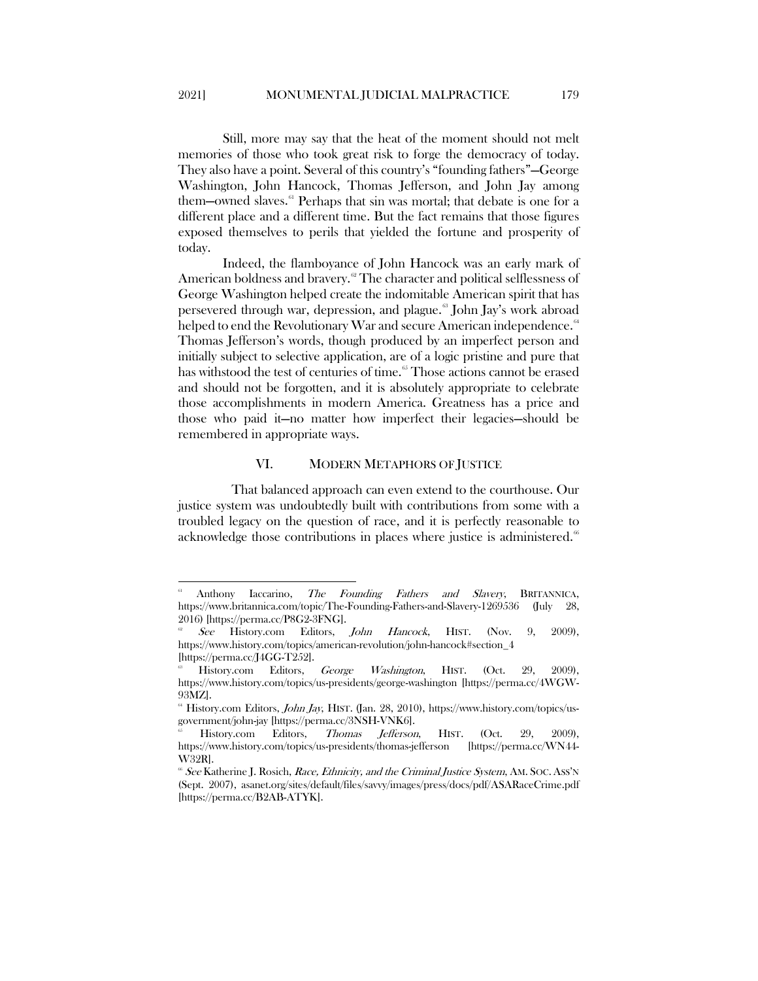Still, more may say that the heat of the moment should not melt memories of those who took great risk to forge the democracy of today. They also have a point. Several of this country's "founding fathers"—George Washington, John Hancock, Thomas Jefferson, and John Jay among them—owned slaves.<sup>[61](#page-11-1)</sup> Perhaps that sin was mortal; that debate is one for a different place and a different time. But the fact remains that those figures exposed themselves to perils that yielded the fortune and prosperity of today.

Indeed, the flamboyance of John Hancock was an early mark of American boldness and bravery.<sup>[62](#page-11-2)</sup> The character and political selflessness of George Washington helped create the indomitable American spirit that has persevered through war, depression, and plague. [63](#page-11-3) John Jay's work abroad helped to end the Revolutionary War and secure American independence.<sup>[64](#page-11-4)</sup> Thomas Jefferson's words, though produced by an imperfect person and initially subject to selective application, are of a logic pristine and pure that has withstood the test of centuries of time.<sup>[65](#page-11-5)</sup> Those actions cannot be erased and should not be forgotten, and it is absolutely appropriate to celebrate those accomplishments in modern America. Greatness has a price and those who paid it—no matter how imperfect their legacies—should be remembered in appropriate ways.

## VI. MODERN METAPHORS OF JUSTICE

<span id="page-11-0"></span> That balanced approach can even extend to the courthouse. Our justice system was undoubtedly built with contributions from some with a troubled legacy on the question of race, and it is perfectly reasonable to acknowledge those contributions in places where justice is administered.<sup>[66](#page-11-6)</sup>

<span id="page-11-1"></span>Anthony Iaccarino, The Founding Fathers and Slavery, BRITANNICA, https://www.britannica.com/topic/The-Founding-Fathers-and-Slavery-1269536 (July 28, 2016) [https://perma.cc/P8G2-3FNG].

<span id="page-11-2"></span>See History.com Editors, John Hancock, HIST. (Nov. 9, 2009), https://www.history.com/topics/american-revolution/john-hancock#section\_4 [https://perma.cc/J4GG-T252].

<span id="page-11-3"></span>History.com Editors, *George Washington*, HIST. (Oct. 29, 2009), https://www.history.com/topics/us-presidents/george-washington [https://perma.cc/4WGW-93MZ].

<span id="page-11-4"></span><sup>&</sup>lt;sup>64</sup> History.com Editors, *John Jay*, HIST. (Jan. 28, 2010), https://www.history.com/topics/usgovernment/john-jay [https://perma.cc/3NSH-VNK6].<br>65 History.com Editors, *Thomas Jefferson*, HIST. (Oct. 29, 2009),

<span id="page-11-5"></span>https://www.history.com/topics/us-presidents/thomas-jefferson [https://perma.cc/WN44- W32R].

<span id="page-11-6"></span> $\delta^*$  See Katherine J. Rosich, *Race, Ethnicity, and the Criminal Justice System*, AM. SOC. Ass'N (Sept. 2007), asanet.org/sites/default/files/savvy/images/press/docs/pdf/ASARaceCrime.pdf [https://perma.cc/B2AB-ATYK].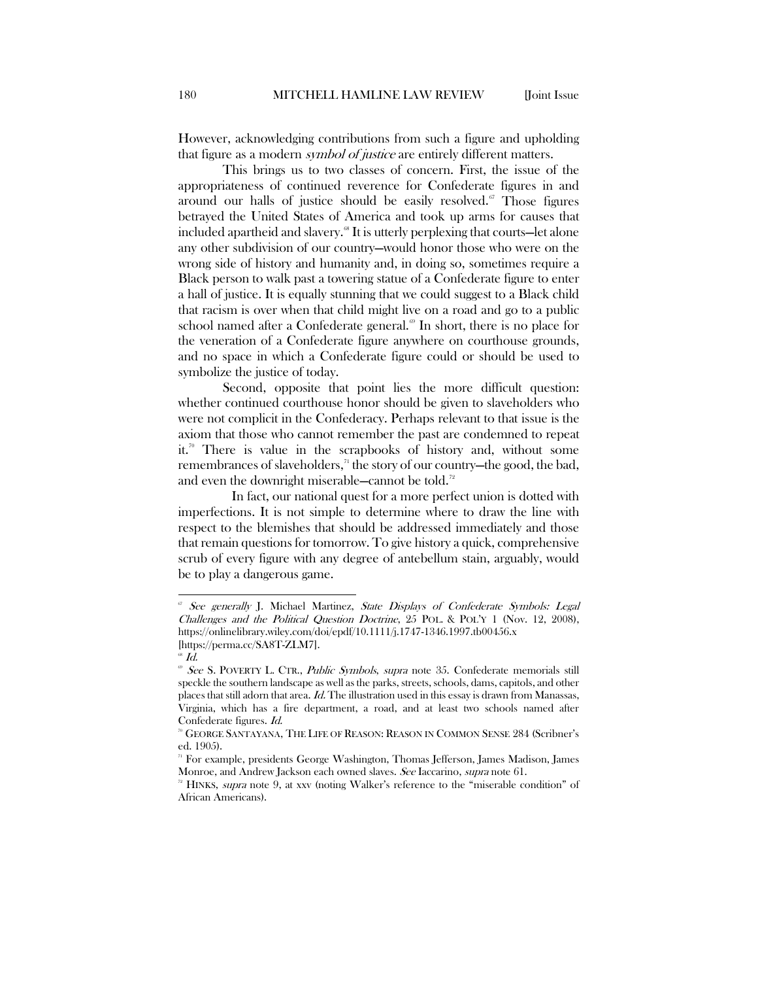However, acknowledging contributions from such a figure and upholding that figure as a modern *symbol of justice* are entirely different matters.

This brings us to two classes of concern. First, the issue of the appropriateness of continued reverence for Confederate figures in and around our halls of justice should be easily resolved. $\sigma$  Those figures betrayed the United States of America and took up arms for causes that included apartheid and slavery.<sup>88</sup> It is utterly perplexing that courts—let alone any other subdivision of our country—would honor those who were on the wrong side of history and humanity and, in doing so, sometimes require a Black person to walk past a towering statue of a Confederate figure to enter a hall of justice. It is equally stunning that we could suggest to a Black child that racism is over when that child might live on a road and go to a public school named after a Confederate general.<sup> $\omega$ </sup> In short, there is no place for the veneration of a Confederate figure anywhere on courthouse grounds, and no space in which a Confederate figure could or should be used to symbolize the justice of today.

Second, opposite that point lies the more difficult question: whether continued courthouse honor should be given to slaveholders who were not complicit in the Confederacy. Perhaps relevant to that issue is the axiom that those who cannot remember the past are condemned to repeat it.<sup>[70](#page-12-3)</sup> There is value in the scrapbooks of history and, without some remembrances of slaveholders, $\pi$ <sup>1</sup> the story of our country—the good, the bad, and even the downright miserable—cannot be told.<sup>[72](#page-12-5)</sup>

In fact, our national quest for a more perfect union is dotted with imperfections. It is not simple to determine where to draw the line with respect to the blemishes that should be addressed immediately and those that remain questions for tomorrow. To give history a quick, comprehensive scrub of every figure with any degree of antebellum stain, arguably, would be to play a dangerous game.

<span id="page-12-0"></span>See generally J. Michael Martinez, State Displays of Confederate Symbols: Legal Challenges and the Political Question Doctrine, 25 POL. & POL'Y 1 (Nov. 12, 2008), https://onlinelibrary.wiley.com/doi/epdf/10.1111/j.1747-1346.1997.tb00456.x [https://perma.cc/SA8T-ZLM7].

 $\mathscr{\mathscr{L}}$  *M*.

<span id="page-12-2"></span><span id="page-12-1"></span><sup>&</sup>lt;sup>®</sup> See S. POVERTY L. CTR., Public Symbols, supra note 35. Confederate memorials still speckle the southern landscape as well as the parks, streets, schools, dams, capitols, and other places that still adorn that area. Id. The illustration used in this essay is drawn from Manassas, Virginia, which has a fire department, a road, and at least two schools named after Confederate figures. Id.

<span id="page-12-3"></span><sup>70</sup> GEORGE SANTAYANA, THE LIFE OF REASON: REASON IN COMMON SENSE 284 (Scribner's ed. 1905).

<span id="page-12-4"></span><sup>71</sup> For example, presidents George Washington, Thomas Jefferson, James Madison, James Monroe, and Andrew Jackson each owned slaves. See Iaccarino, supra note 61.

<span id="page-12-5"></span> $7<sup>2</sup>$  HINKS, supra note 9, at xxv (noting Walker's reference to the "miserable condition" of African Americans).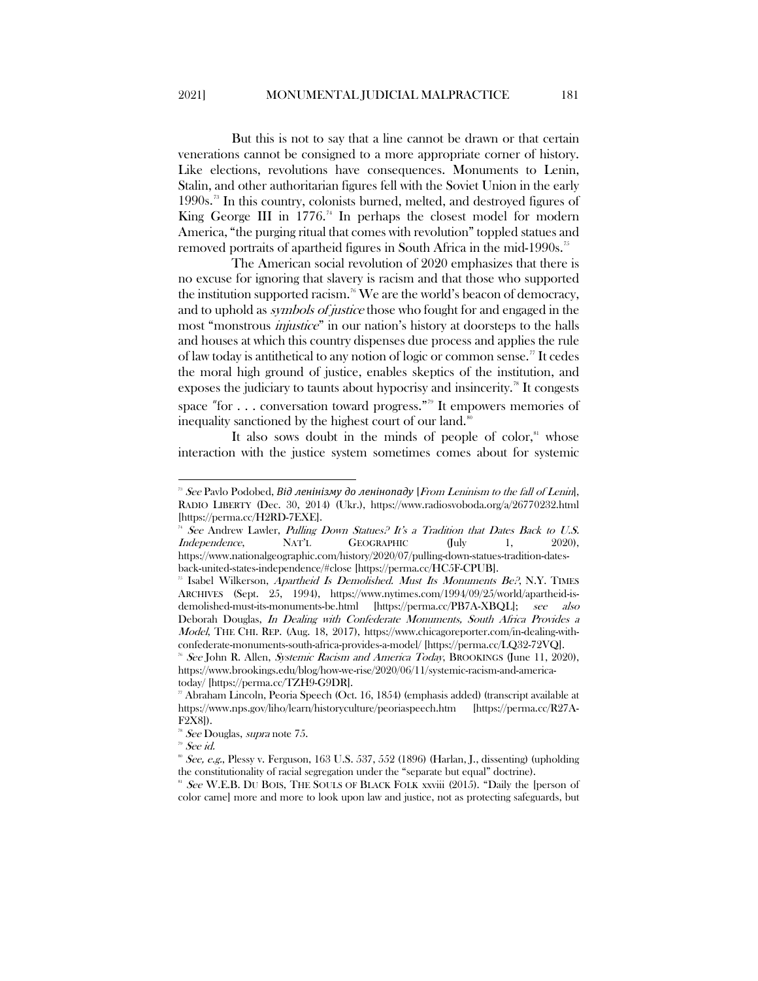But this is not to say that a line cannot be drawn or that certain venerations cannot be consigned to a more appropriate corner of history. Like elections, revolutions have consequences. Monuments to Lenin, Stalin, and other authoritarian figures fell with the Soviet Union in the early 1990s. [73](#page-13-0) In this country, colonists burned, melted, and destroyed figures of King George III in  $1776$ .<sup>[74](#page-13-1)</sup> In perhaps the closest model for modern America, "the purging ritual that comes with revolution" toppled statues and removed portraits of apartheid figures in South Africa in the mid-1990s.<sup>[75](#page-13-2)</sup>

The American social revolution of 2020 emphasizes that there is no excuse for ignoring that slavery is racism and that those who supported the institution supported racism.<sup>[76](#page-13-3)</sup> We are the world's beacon of democracy, and to uphold as symbols of justice those who fought for and engaged in the most "monstrous *injustice*" in our nation's history at doorsteps to the halls and houses at which this country dispenses due process and applies the rule of law today is antithetical to any notion of logic or common sense.[77](#page-13-4) It cedes the moral high ground of justice, enables skeptics of the institution, and exposes the judiciary to taunts about hypocrisy and insincerity.<sup>[78](#page-13-5)</sup> It congests space "for . . . conversation toward progress."<sup>79</sup> It empowers memories of inequality sanctioned by the highest court of our land.<sup>80</sup>

It also sows doubt in the minds of people of color, $\mathbf{S}^{\text{S1}}$  whose interaction with the justice system sometimes comes about for systemic

<sup>79</sup> See id.

<span id="page-13-0"></span> <sup>73</sup> See Pavlo Podobed, *Від ленінізму до ленінопаду* [From Leninism to the fall of Lenin], RADIO LIBERTY (Dec. 30, 2014) (Ukr.), https://www.radiosvoboda.org/a/26770232.html [https://perma.cc/H2RD-7EXE].

<span id="page-13-1"></span>See Andrew Lawler, Pulling Down Statues? It's a Tradition that Dates Back to U.S. Independence, NAT'L GEOGRAPHIC (July 1, 2020), https://www.nationalgeographic.com/history/2020/07/pulling-down-statues-tradition-dates-

<span id="page-13-2"></span>back-united-states-independence/#close [https://perma.cc/HC5F-CPUB].<br><sup>25</sup> Isabel Wilkerson, *Apartheid Is Demolished. Must Its Monuments Be?*, N.Y. TIMES ARCHIVES (Sept. 25, 1994), https://www.nytimes.com/1994/09/25/world/apartheid-isdemolished-must-its-monuments-be.html [https://perma.cc/PB7A-XBQL]; see also Deborah Douglas, In Dealing with Confederate Monuments, South Africa Provides a Model, THE CHI. REP. (Aug. 18, 2017), https://www.chicagoreporter.com/in-dealing-withconfederate-monuments-south-africa-provides-a-model/ [https://perma.cc/LQ32-72VQ].

<span id="page-13-3"></span><sup>&</sup>lt;sup>76</sup> See John R. Allen, Systemic Racism and America Today, BROOKINGS (June 11, 2020), https://www.brookings.edu/blog/how-we-rise/2020/06/11/systemic-racism-and-americatoday/ [https://perma.cc/TZH9-G9DR].

<span id="page-13-4"></span>Abraham Lincoln, Peoria Speech (Oct. 16, 1854) (emphasis added) (transcript available at https://www.nps.gov/liho/learn/historyculture/peoriaspeech.htm [https://perma.cc/R27A-F2X8]).

<span id="page-13-5"></span>See Douglas, supra note 75.

 $\degree$  See, e.g., Plessy v. Ferguson, 163 U.S. 537, 552 (1896) (Harlan, I., dissenting) (upholding the constitutionality of racial segregation under the "separate but equal" doctrine).

<span id="page-13-6"></span> $81$  See W.E.B. DU BOIS, THE SOULS OF BLACK FOLK xxviii (2015). "Daily the [person of color came] more and more to look upon law and justice, not as protecting safeguards, but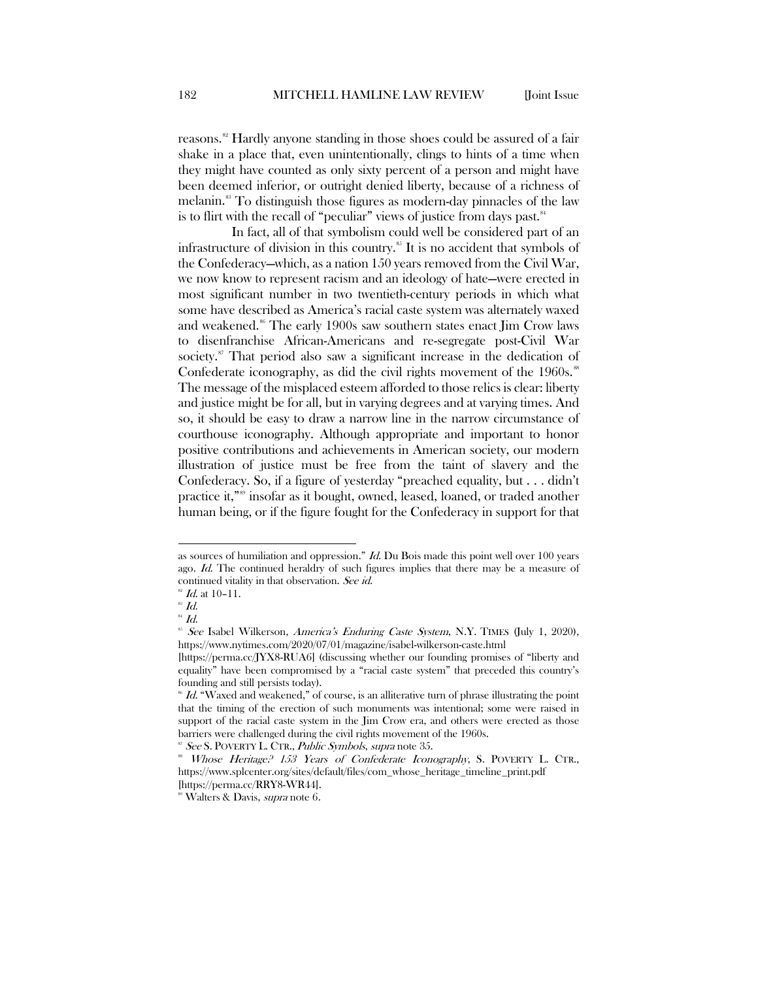reasons.<sup>[82](#page-14-0)</sup> Hardly anyone standing in those shoes could be assured of a fair shake in a place that, even unintentionally, clings to hints of a time when they might have counted as only sixty percent of a person and might have been deemed inferior, or outright denied liberty, because of a richness of melanin.<sup>[83](#page-14-1)</sup> To distinguish those figures as modern-day pinnacles of the law is to flirt with the recall of "peculiar" views of justice from days past.<sup>[84](#page-14-2)</sup>

In fact, all of that symbolism could well be considered part of an infrastructure of division in this country.<sup>[85](#page-14-3)</sup> It is no accident that symbols of the Confederacy—which, as a nation 150 years removed from the Civil War, we now know to represent racism and an ideology of hate—were erected in most significant number in two twentieth-century periods in which what some have described as America's racial caste system was alternately waxed and weakened.<sup>[86](#page-14-4)</sup> The early 1900s saw southern states enact Jim Crow laws to disenfranchise African-Americans and re-segregate post-Civil War society.<sup>87</sup> That period also saw a significant increase in the dedication of Confederate iconography, as did the civil rights movement of the  $1960s$ .<sup>[88](#page-14-6)</sup> The message of the misplaced esteem afforded to those relics is clear: liberty and justice might be for all, but in varying degrees and at varying times. And so, it should be easy to draw a narrow line in the narrow circumstance of courthouse iconography. Although appropriate and important to honor positive contributions and achievements in American society, our modern illustration of justice must be free from the taint of slavery and the Confederacy. So, if a figure of yesterday "preached equality, but . . . didn't practice it,"<sup>[89](#page-14-7)</sup> insofar as it bought, owned, leased, loaned, or traded another human being, or if the figure fought for the Confederacy in support for that

 $\overline{a}$ 

as sources of humiliation and oppression."  $Id$ . Du Bois made this point well over 100 years ago. Id. The continued heraldry of such figures implies that there may be a measure of continued vitality in that observation. See id.

 $^{82}$  *Id.* at 10-11.

<span id="page-14-1"></span><span id="page-14-0"></span> $^{83}$  Id.

<span id="page-14-2"></span> $^{84}$  Id.

<span id="page-14-3"></span> $85$  See Isabel Wilkerson, America's Enduring Caste System, N.Y. TIMES (July 1, 2020), https://www.nytimes.com/2020/07/01/magazine/isabel-wilkerson-caste.html

<sup>[</sup>https://perma.cc/JYX8-RUA6] (discussing whether our founding promises of "liberty and equality" have been compromised by a "racial caste system" that preceded this country's founding and still persists today).

<span id="page-14-4"></span> $\mathscr{B}$  Id. "Waxed and weakened," of course, is an alliterative turn of phrase illustrating the point that the timing of the erection of such monuments was intentional; some were raised in support of the racial caste system in the Jim Crow era, and others were erected as those barriers were challenged during the civil rights movement of the 1960s.

<sup>&</sup>lt;sup>87</sup> See S. POVERTY L. CTR., *Public Symbols*, *supra* note 35.

<span id="page-14-6"></span><span id="page-14-5"></span><sup>&</sup>lt;sup>8</sup> Whose Heritage? 153 Years of Confederate Iconography, S. POVERTY L. CTR., https://www.splcenter.org/sites/default/files/com\_whose\_heritage\_timeline\_print.pdf [https://perma.cc/RRY8-WR44].

<span id="page-14-7"></span><sup>&</sup>lt;sup>89</sup> Walters & Davis, *supra* note 6.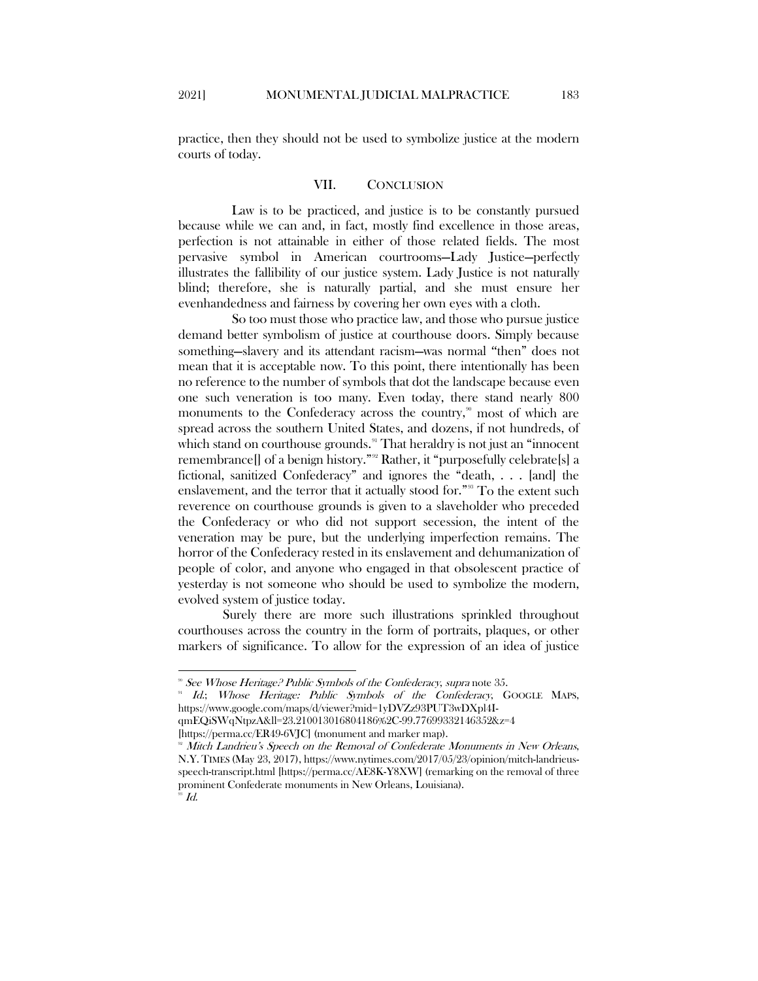<span id="page-15-0"></span>practice, then they should not be used to symbolize justice at the modern courts of today.

## VII. CONCLUSION

Law is to be practiced, and justice is to be constantly pursued because while we can and, in fact, mostly find excellence in those areas, perfection is not attainable in either of those related fields. The most pervasive symbol in American courtrooms—Lady Justice—perfectly illustrates the fallibility of our justice system. Lady Justice is not naturally blind; therefore, she is naturally partial, and she must ensure her evenhandedness and fairness by covering her own eyes with a cloth.

So too must those who practice law, and those who pursue justice demand better symbolism of justice at courthouse doors. Simply because something—slavery and its attendant racism—was normal "then" does not mean that it is acceptable now. To this point, there intentionally has been no reference to the number of symbols that dot the landscape because even one such veneration is too many. Even today, there stand nearly 800 monuments to the Confederacy across the country,<sup>[90](#page-15-1)</sup> most of which are spread across the southern United States, and dozens, if not hundreds, of which stand on courthouse grounds.<sup>[91](#page-15-2)</sup> That heraldry is not just an "innocent remembrance[] of a benign history."[92](#page-15-3) Rather, it "purposefully celebrate[s] a fictional, sanitized Confederacy" and ignores the "death, . . . [and] the enslavement, and the terror that it actually stood for."<sup>[93](#page-15-4)</sup> To the extent such reverence on courthouse grounds is given to a slaveholder who preceded the Confederacy or who did not support secession, the intent of the veneration may be pure, but the underlying imperfection remains. The horror of the Confederacy rested in its enslavement and dehumanization of people of color, and anyone who engaged in that obsolescent practice of yesterday is not someone who should be used to symbolize the modern, evolved system of justice today.

Surely there are more such illustrations sprinkled throughout courthouses across the country in the form of portraits, plaques, or other markers of significance. To allow for the expression of an idea of justice

<sup>&</sup>lt;sup>90</sup> See Whose Heritage? Public Symbols of the Confederacy, supra note 35.

<span id="page-15-2"></span><span id="page-15-1"></span>Id.; Whose Heritage: Public Symbols of the Confederacy, GOOGLE MAPS, https://www.google.com/maps/d/viewer?mid=1yDVZz93PUT3wDXpl4IqmEQiSWqNtpzA&ll=23.210013016804186%2C-99.77699332146352&z=4

<span id="page-15-4"></span><span id="page-15-3"></span><sup>[</sup>https://perma.cc/ER49-6VJC] (monument and marker map).<br><sup>92</sup> Mitch Landrieu's Speech on the Removal of Confederate Monuments in New Orleans, N.Y. TIMES (May 23, 2017), https://www.nytimes.com/2017/05/23/opinion/mitch-landrieusspeech-transcript.html [https://perma.cc/AE8K-Y8XW] (remarking on the removal of three prominent Confederate monuments in New Orleans, Louisiana).  $^{\text{\tiny{\textup{8}}}}$   $Id.$